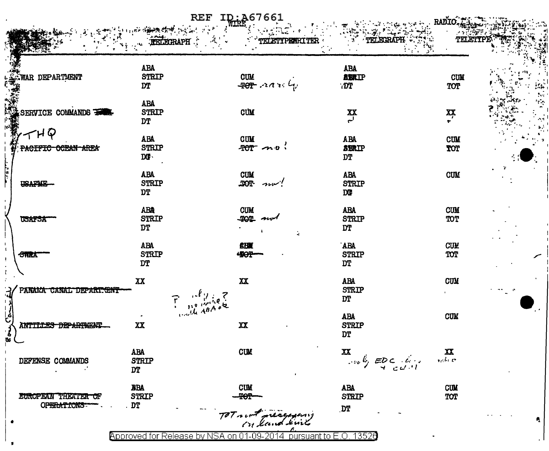|                                             |                     | <b>REF</b><br>ID: 267661                                                                         |                                    | RADIO                                 |
|---------------------------------------------|---------------------|--------------------------------------------------------------------------------------------------|------------------------------------|---------------------------------------|
|                                             | <b>FELECTRAPH</b>   | TELETYPEWEITER                                                                                   | TETLELSHAP"                        | Titling                               |
|                                             | <b>ABA</b>          |                                                                                                  | <b>ABA</b>                         |                                       |
| WAR DEPARTMENT                              | <b>STRIP</b><br>DT  | $\begin{array}{c} \text{CUM} \\ \text{-POT-} \curvearrowright \\ \curvearrowleft \\ \end{array}$ | <b>ABRIP</b><br>.DT                | <b>CUM</b><br>TOT                     |
|                                             | <b>ABA</b>          |                                                                                                  |                                    |                                       |
| SERVICE COMMANDS                            | <b>STRIP</b>        | CUM                                                                                              | $\sum_{i=1}^{n}$                   | $\sum_{\tau}$                         |
|                                             | <b>DT</b>           |                                                                                                  |                                    |                                       |
| $ \sim$ $\mu$ $\heartsuit$                  | <b>ABA</b>          | <b>CUM</b>                                                                                       | <b>ABA</b>                         | <b>CUM</b>                            |
| <del>ocean area</del><br><del>PACIFIC</del> | <b>STRIP</b><br>DG. | $70T \sim v$                                                                                     | <b>SBRIP</b><br>DT                 | TOT                                   |
|                                             | <b>ABA</b>          | <b>CUM</b>                                                                                       | ABA                                | <b>CUM</b>                            |
| <b>USAFAIE</b>                              | <b>STRIP</b>        | $100 - 200$                                                                                      | <b>STRIP</b>                       |                                       |
|                                             | <b>DT</b>           |                                                                                                  | <b>DG</b>                          |                                       |
|                                             | <b>ABA</b>          | <b>CUM</b>                                                                                       | <b>ABA</b>                         | <b>CUM</b>                            |
| <b>USAFSA</b>                               | <b>STRIP</b><br>DT  | 404<br>سومده<br>à,                                                                               | <b>STRIP</b><br><b>DT</b>          | TOT                                   |
|                                             | <b>ABA</b>          | <b>CHN</b>                                                                                       | <b>ABA</b>                         | <b>CUM</b>                            |
| <b>STRA</b>                                 | <b>STRIP</b>        | 490P-                                                                                            | <b>STRIP</b>                       | TOT                                   |
|                                             | <b>DT</b>           |                                                                                                  | <b>DT</b>                          |                                       |
|                                             | XX                  | XX                                                                                               | <b>ABA</b>                         | <b>CUM</b>                            |
| PANAMA CANAL DEPARTENY                      |                     | $\Gamma = \frac{160 \mu\text{kg/s}}{120 \mu\text{g}A\theta A\phi R}$                             | <b>STRIP</b><br>DT                 |                                       |
|                                             |                     |                                                                                                  | ABA                                | <b>CUM</b>                            |
| <b>ANTILLES</b><br><b>DEPARTMENT</b>        | XX                  | $\mathbf{X}$                                                                                     | <b>STRIP</b>                       |                                       |
|                                             |                     |                                                                                                  | DT                                 |                                       |
|                                             | ABA                 | <b>CUM</b>                                                                                       | XX                                 | $\frac{\mathbf{X}}{\mathbf{x}_0 h/c}$ |
| DEFENSE COMMANDS                            | <b>STRIP</b><br>DT  |                                                                                                  | $\cos \theta$ $= 00$ $\sin \theta$ |                                       |
|                                             | <b>BBA</b>          | <b>CUM</b>                                                                                       | ABA                                | <b>CUM</b>                            |
| EUROPEAN THEATER OF                         | <b>STRIP</b>        |                                                                                                  | <b>STRIP</b>                       | TOT                                   |
| OPERATIONS                                  | . DT                | TOT and measuring                                                                                | <b>DT</b>                          |                                       |
|                                             |                     |                                                                                                  |                                    |                                       |

f

Approved for Release by NSA on 01-09-2014 pursuant to E.O. 13520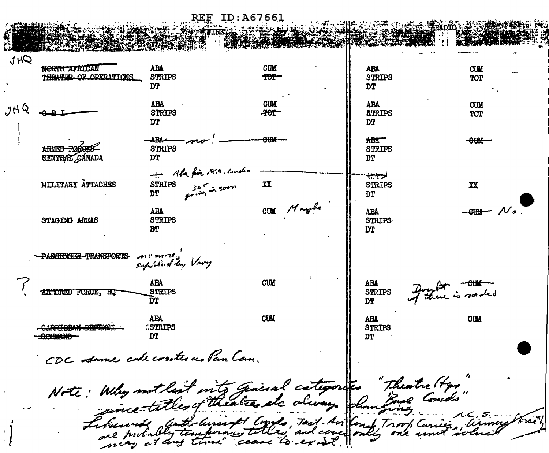ID:A67661 **REF** 

JHQ NORTH AFRICAN **ABA CUM ABA CUM STRIPS STRIPS** LOCOLOR OPERATIONS ዋፀዋ TOT **TYP** DT **ARA CUM ABA CUM JHQ STRIPS POT STRIPS** TOT **DT DT** <u>arne</u> سمحم  $ABA$ <del>om</del>  $ARHR-ROOR$ **STRIPS STRIPS** SENTRAL CÁNADA **DT** DT - Aba fin , ora, andin حسب MILLTARY ATTACHES 325 in servi  $\mathbf{X}$ **STRIPS STRIPS** XX **DT DT** CUM Margha  $\mathcal{N}_a$ **ABA ABA STRIPS** STAGING AREAS **STRIPS** ĐТ **DT** PASSENGER-TRANSPORTS- At Carter. supplied by Very **ABA CUM ABA** Francis souled **STRIPS** STRIPS AR ORED FORCE, HQ ገም DT **CUM ABA ABA CIM** <u>CAPTERAM DECENOT</u> **ESTRIPS STRIPS** DT יזמ CDC stame code controles Pan Can. Note: Why not least into general categories "Theatre (tex"  $\pi$ ran $\pi$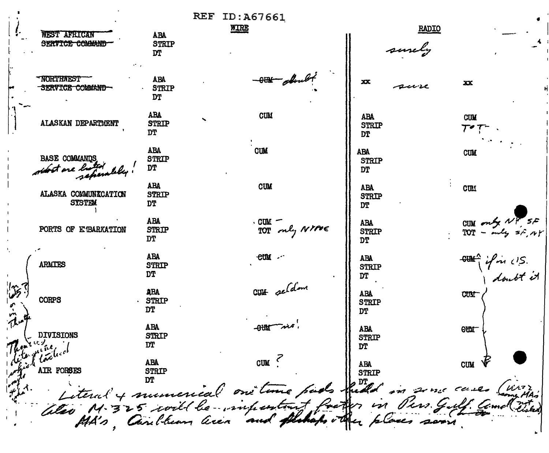| <b>WEST AFRICAN</b><br>SERVICE COMMAND                        | <b>ABA</b><br><b>STRIP</b><br>DT        | <b>REF ID: A67661</b><br><b>WIRE</b> |                         |                                         | <b>RADIO</b><br>surely |                                                                                                                                                                                                                                                                        |  |
|---------------------------------------------------------------|-----------------------------------------|--------------------------------------|-------------------------|-----------------------------------------|------------------------|------------------------------------------------------------------------------------------------------------------------------------------------------------------------------------------------------------------------------------------------------------------------|--|
| <b>NORTHWEST</b><br>SERVICE COMMAND-                          | <b>ABA</b><br><b>STRIP</b><br>DT        |                                      | -OTHE doubt             | XX.                                     | sur ve                 | XX                                                                                                                                                                                                                                                                     |  |
| ALASKAN DEPARTMENT                                            | <b>ABA</b><br><b>STRIP</b><br><b>DT</b> | <b>CUM</b>                           |                         | <b>ABA</b><br><b>STRIP</b><br><b>DT</b> |                        | <b>CUM</b>                                                                                                                                                                                                                                                             |  |
| <b>BASE COMMANDS</b><br>fost are lui<br>scheralde             | <b>ABA</b><br><b>STRIP</b><br>DT        | <b>CUM</b>                           |                         | <b>ABA</b><br><b>STRIP</b><br>DT        |                        | <b>CUM</b>                                                                                                                                                                                                                                                             |  |
| ALASKA COMMUNICATION<br><b>SYSTEM</b>                         | <b>ABA</b><br><b>STRIP</b><br><b>DT</b> | <b>CUM</b>                           |                         | <b>ABA</b><br><b>STRIP</b><br><b>DT</b> |                        | <b>CUM</b>                                                                                                                                                                                                                                                             |  |
| PORTS OF E BARKATION                                          | <b>ABA</b><br><b>STRIP</b><br>DT        |                                      | CUM -<br>TOT only NYPOE | <b>ABA</b><br><b>STRIP</b><br><b>DT</b> |                        | $\begin{array}{l} \text{CUM} \\ \text{TOT} = \begin{array}{l} \text{mely} \\ \text{mly} \end{array} \begin{array}{l} \text{V} \\ \text{S} \\ \text{A} \\ \text{A} \end{array} \end{array} \begin{array}{l} \text{CFT} \\ \text{V} \\ \text{A} \\ \text{A} \end{array}$ |  |
| <b>ARMITES</b>                                                | <b>ABA</b><br><b>STRIP</b><br>DT        | eumu -                               |                         | <b>ABA</b><br><b>STRIP</b><br>DT        |                        | " if in U.S.<br>I dont it                                                                                                                                                                                                                                              |  |
| <b>CORPS</b>                                                  | <b>ABA</b><br>STRIP<br><b>DT</b>        |                                      | CUH seldom              | <b>ABA</b><br><b>STRIP</b><br><b>DT</b> |                        | <b>CUM</b>                                                                                                                                                                                                                                                             |  |
| <b>DIVISIONS</b>                                              | <b>ABA</b><br><b>STRIP</b><br><b>DT</b> | <b>-80M</b>                          |                         | <b>ABA</b><br><b>STRIP</b>              |                        | <b>CUM</b>                                                                                                                                                                                                                                                             |  |
|                                                               | ABA<br><b>STRIP</b>                     | CUM                                  |                         | <b>ABA<br/>STRIP</b>                    |                        | <b>CUM</b>                                                                                                                                                                                                                                                             |  |
| Literal y munerical on time puedo fuld in some cases (mortal) |                                         |                                      |                         |                                         |                        |                                                                                                                                                                                                                                                                        |  |